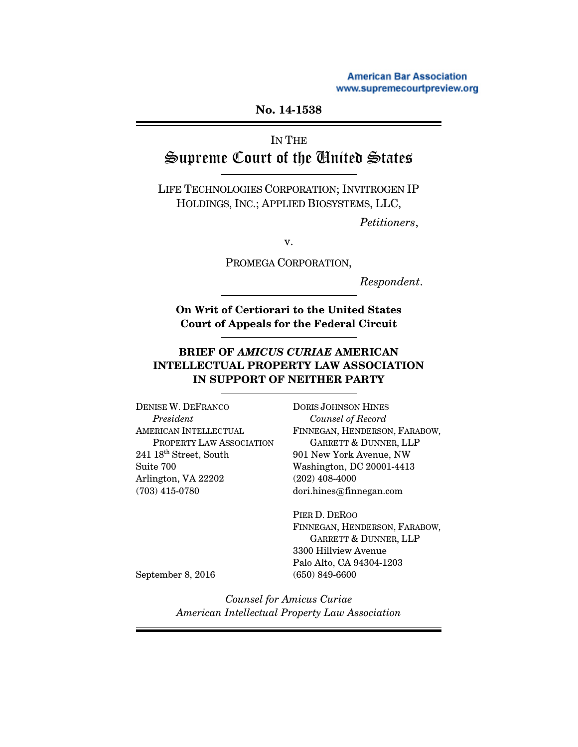**American Bar Association** www.supremecourtpreview.org

#### **No. 14-15[38](www.supremecourtpreview.org)**

# IN THE Supreme Court of the United States

LIFE TECHNOLOGIES CORPORATION; INVITROGEN IP HOLDINGS, INC.; APPLIED BIOSYSTEMS, LLC,

*Petitioners*,

v.

PROMEGA CORPORATION,

*Respondent*.

**On Writ of Certiorari to the United States Court of Appeals for the Federal Circuit**

#### **BRIEF OF** *AMICUS CURIAE* **AMERICAN INTELLECTUAL PROPERTY LAW ASSOCIATION IN SUPPORT OF NEITHER PARTY**

DENISE W. DEFRANCO *President* AMERICAN INTELLECTUAL PROPERTY LAW ASSOCIATION  $241~18^{\text{th}}$  Street, South Suite 700 Arlington, VA 22202 (703) 415-0780

DORIS JOHNSON HINES *Counsel of Record* FINNEGAN, HENDERSON, FARABOW, GARRETT & DUNNER, LLP 901 New York Avenue, NW Washington, DC 20001-4413 (202) 408-4000 dori.hines@finnegan.com

PIER D. DEROO FINNEGAN, HENDERSON, FARABOW, GARRETT & DUNNER, LLP 3300 Hillview Avenue Palo Alto, CA 94304-1203 (650) 849-6600

September 8, 2016

*Counsel for Amicus Curiae American Intellectual Property Law Association*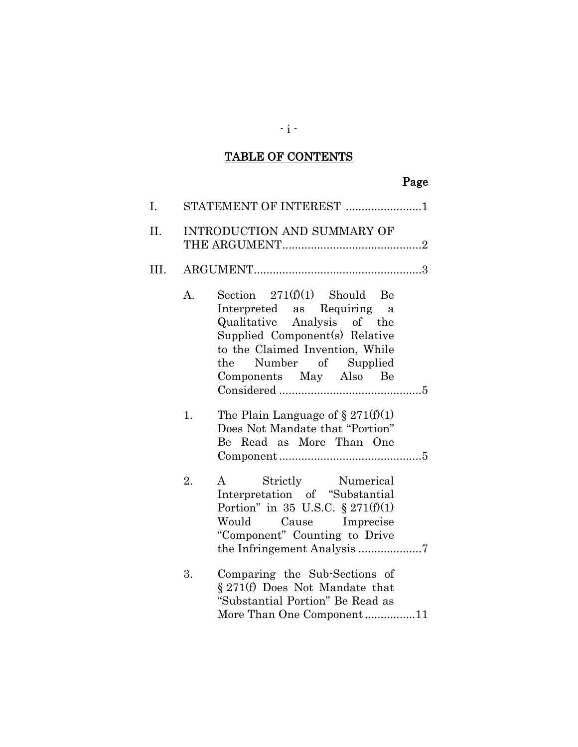## TABLE OF CONTENTS

# Page

| I.   |                | STATEMENT OF INTEREST 1                                                                                                                                                                                             |
|------|----------------|---------------------------------------------------------------------------------------------------------------------------------------------------------------------------------------------------------------------|
| II.  |                | <b>INTRODUCTION AND SUMMARY OF</b>                                                                                                                                                                                  |
| III. |                |                                                                                                                                                                                                                     |
|      | $\mathbf{A}$ . | Section $271(f)(1)$ Should Be<br>Interpreted as Requiring a<br>Qualitative Analysis of the<br>Supplied Component(s) Relative<br>to the Claimed Invention, While<br>the Number of Supplied<br>Components May Also Be |
|      | 1.             | The Plain Language of $\S 271(f)(1)$<br>Does Not Mandate that "Portion"<br>Be Read as More Than One                                                                                                                 |
|      | 2.             | Strictly Numerical<br>$\mathbf{A}$<br>Interpretation of "Substantial<br>Portion" in 35 U.S.C. $\S 271(f)(1)$<br>Would Cause Imprecise<br>"Component" Counting to Drive                                              |
|      | 3.             | Comparing the Sub-Sections of<br>§ 271(f) Does Not Mandate that<br>"Substantial Portion" Be Read as<br>More Than One Component11                                                                                    |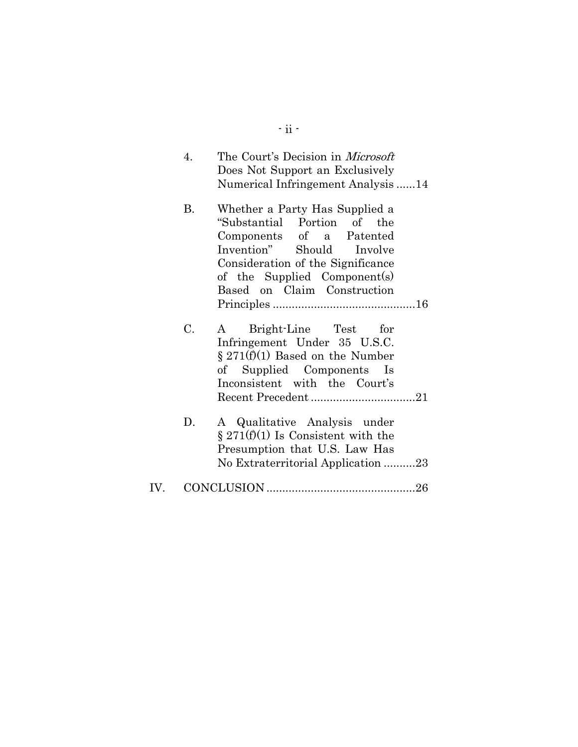| 4. | The Court's Decision in <i>Microsoft</i><br>Does Not Support an Exclusively<br>Numerical Infringement Analysis 14                                                                                                          |
|----|----------------------------------------------------------------------------------------------------------------------------------------------------------------------------------------------------------------------------|
| В. | Whether a Party Has Supplied a<br>"Substantial Portion of the<br>Components of a Patented<br>Invention" Should Involve<br>Consideration of the Significance<br>of the Supplied Component(s)<br>Based on Claim Construction |
|    |                                                                                                                                                                                                                            |
| C. | Bright-Line Test for<br>$\mathbf{A}$<br>Infringement Under 35 U.S.C.<br>$\S 271(f)(1)$ Based on the Number<br>of Supplied Components Is<br>Inconsistent with the Court's                                                   |
| D. | A Qualitative Analysis under<br>$\S 271(f)(1)$ Is Consistent with the<br>Presumption that U.S. Law Has<br>No Extraterritorial Application 23                                                                               |
|    |                                                                                                                                                                                                                            |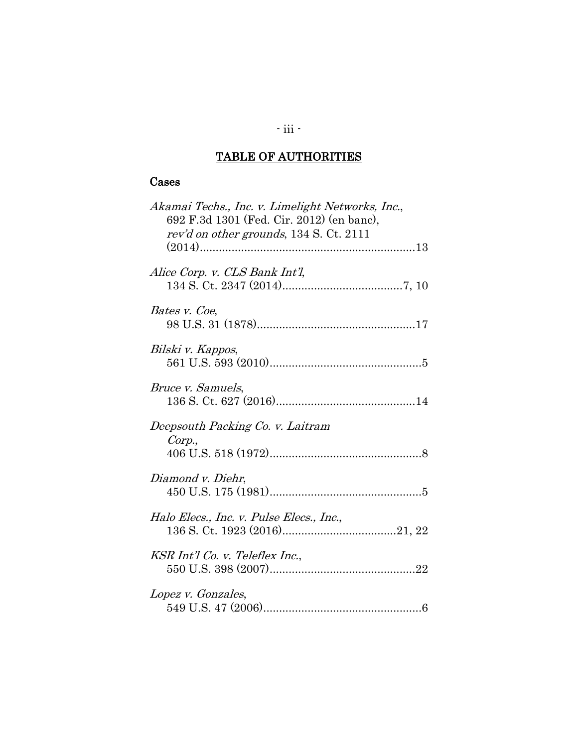# TABLE OF AUTHORITIES

#### Cases

| Akamai Techs., Inc. v. Limelight Networks, Inc.,<br>692 F.3d 1301 (Fed. Cir. 2012) (en banc),<br>rev'd on other grounds, 134 S. Ct. 2111 |
|------------------------------------------------------------------------------------------------------------------------------------------|
| Alice Corp. v. CLS Bank Int'l,                                                                                                           |
| Bates v. Coe,                                                                                                                            |
| Bilski v. Kappos,                                                                                                                        |
| Bruce v. Samuels,                                                                                                                        |
| Deepsouth Packing Co. v. Laitram<br>Corp.,                                                                                               |
| Diamond v. Diehr,                                                                                                                        |
| Halo Elecs., Inc. v. Pulse Elecs., Inc.,                                                                                                 |
| KSR Int'l Co. v. Teleflex Inc.,                                                                                                          |
| Lopez v. Gonzales,                                                                                                                       |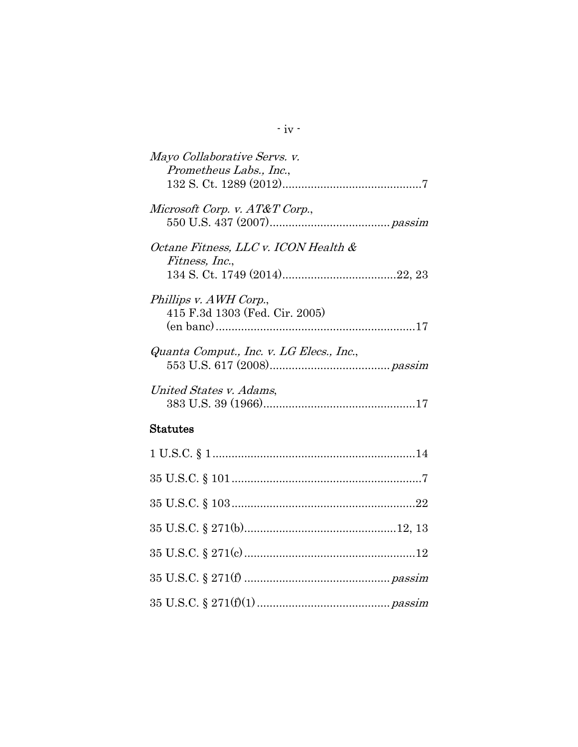| Mayo Collaborative Servs. v.<br>Prometheus Labs., Inc.,       |
|---------------------------------------------------------------|
| Microsoft Corp. v. AT&T Corp.,                                |
| Octane Fitness, LLC v. ICON Health &<br><i>Fitness, Inc.,</i> |
| Phillips v. AWH Corp.,<br>415 F.3d 1303 (Fed. Cir. 2005)      |
| Quanta Comput., Inc. v. LG Elecs., Inc.,                      |
| United States v. Adams,                                       |
| $\operatorname{Status}$                                       |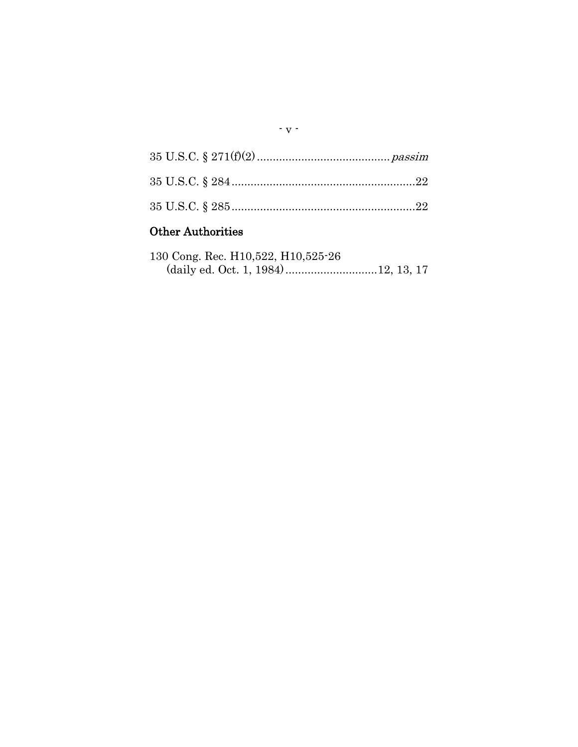# Other Authorities

| 130 Cong. Rec. H10,522, H10,525-26 |  |  |
|------------------------------------|--|--|
|                                    |  |  |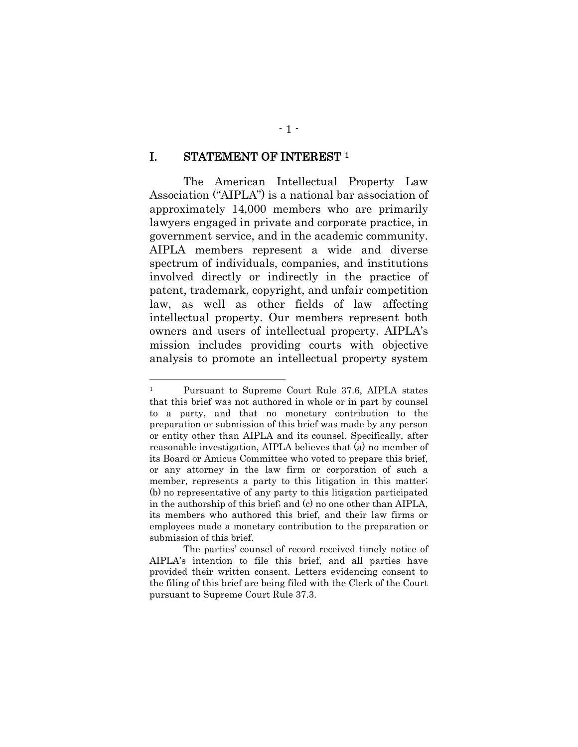#### <span id="page-6-0"></span>I. STATEMENT OF INTEREST [1](#page-6-1)

The American Intellectual Property Law Association ("AIPLA") is a national bar association of approximately 14,000 members who are primarily lawyers engaged in private and corporate practice, in government service, and in the academic community. AIPLA members represent a wide and diverse spectrum of individuals, companies, and institutions involved directly or indirectly in the practice of patent, trademark, copyright, and unfair competition law, as well as other fields of law affecting intellectual property. Our members represent both owners and users of intellectual property. AIPLA's mission includes providing courts with objective analysis to promote an intellectual property system

<span id="page-6-1"></span> <sup>1</sup> Pursuant to Supreme Court Rule 37.6, AIPLA states that this brief was not authored in whole or in part by counsel to a party, and that no monetary contribution to the preparation or submission of this brief was made by any person or entity other than AIPLA and its counsel. Specifically, after reasonable investigation, AIPLA believes that (a) no member of its Board or Amicus Committee who voted to prepare this brief, or any attorney in the law firm or corporation of such a member, represents a party to this litigation in this matter; (b) no representative of any party to this litigation participated in the authorship of this brief; and (c) no one other than AIPLA, its members who authored this brief, and their law firms or employees made a monetary contribution to the preparation or submission of this brief.

The parties' counsel of record received timely notice of AIPLA's intention to file this brief, and all parties have provided their written consent. Letters evidencing consent to the filing of this brief are being filed with the Clerk of the Court pursuant to Supreme Court Rule 37.3.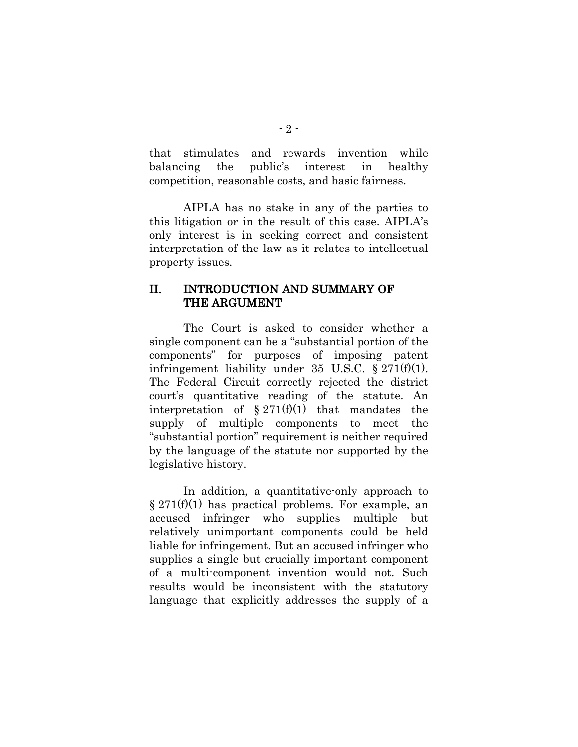that stimulates and rewards invention while balancing the public's interest in healthy competition, reasonable costs, and basic fairness.

AIPLA has no stake in any of the parties to this litigation or in the result of this case. AIPLA's only interest is in seeking correct and consistent interpretation of the law as it relates to intellectual property issues.

#### <span id="page-7-0"></span>II. INTRODUCTION AND SUMMARY OF THE ARGUMENT

<span id="page-7-1"></span>The Court is asked to consider whether a single component can be a "substantial portion of the components" for purposes of imposing patent infringement liability under 35 U.S.C.  $\S 271(f)(1)$ . The Federal Circuit correctly rejected the district court's quantitative reading of the statute. An interpretation of  $\S 271(f)(1)$  that mandates the supply of multiple components to meet the "substantial portion" requirement is neither required by the language of the statute nor supported by the legislative history.

In addition, a quantitative-only approach to  $\S 271(f)(1)$  has practical problems. For example, an accused infringer who supplies multiple but relatively unimportant components could be held liable for infringement. But an accused infringer who supplies a single but crucially important component of a multi-component invention would not. Such results would be inconsistent with the statutory language that explicitly addresses the supply of a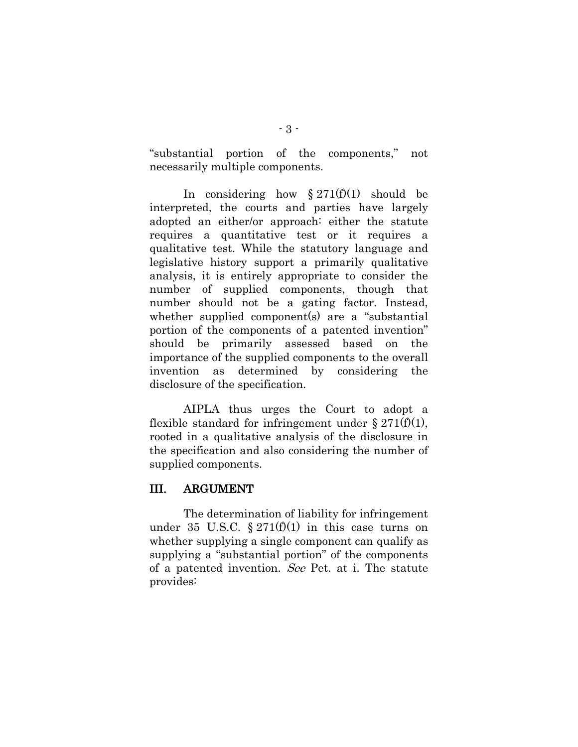"substantial portion of the components," not necessarily multiple components.

In considering how  $\S 271(f)(1)$  should be interpreted, the courts and parties have largely adopted an either/or approach: either the statute requires a quantitative test or it requires a qualitative test. While the statutory language and legislative history support a primarily qualitative analysis, it is entirely appropriate to consider the number of supplied components, though that number should not be a gating factor. Instead, whether supplied component(s) are a "substantial portion of the components of a patented invention" should be primarily assessed based on the importance of the supplied components to the overall invention as determined by considering the disclosure of the specification.

AIPLA thus urges the Court to adopt a flexible standard for infringement under § 271(f)(1), rooted in a qualitative analysis of the disclosure in the specification and also considering the number of supplied components.

### <span id="page-8-0"></span>III. ARGUMENT

The determination of liability for infringement under 35 U.S.C. §  $271(f)(1)$  in this case turns on whether supplying a single component can qualify as supplying a "substantial portion" of the components of a patented invention. See Pet. at i. The statute provides: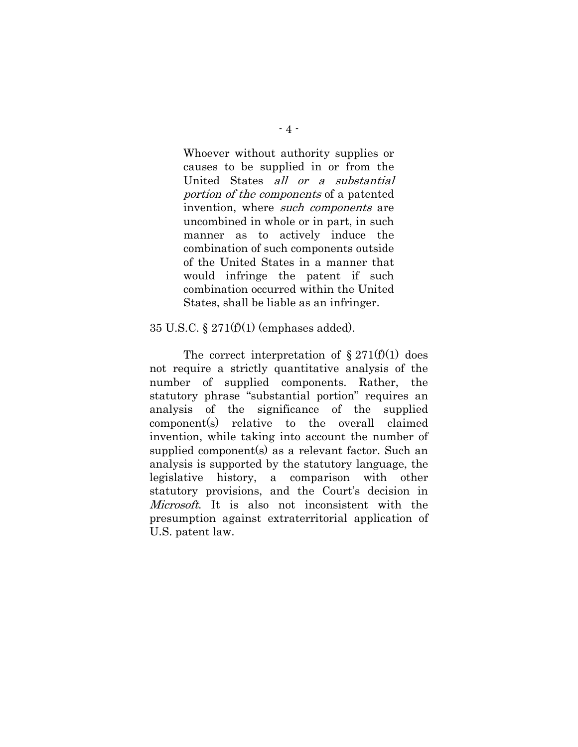Whoever without authority supplies or causes to be supplied in or from the United States all or a substantial portion of the components of a patented invention, where such components are uncombined in whole or in part, in such manner as to actively induce the combination of such components outside of the United States in a manner that would infringe the patent if such combination occurred within the United States, shall be liable as an infringer.

#### 35 U.S.C. § 271(f)(1) (emphases added).

The correct interpretation of  $\S 271(f)(1)$  does not require a strictly quantitative analysis of the number of supplied components. Rather, the statutory phrase "substantial portion" requires an analysis of the significance of the supplied component(s) relative to the overall claimed invention, while taking into account the number of supplied component(s) as a relevant factor. Such an analysis is supported by the statutory language, the legislative history, a comparison with other statutory provisions, and the Court's decision in Microsoft. It is also not inconsistent with the presumption against extraterritorial application of U.S. patent law.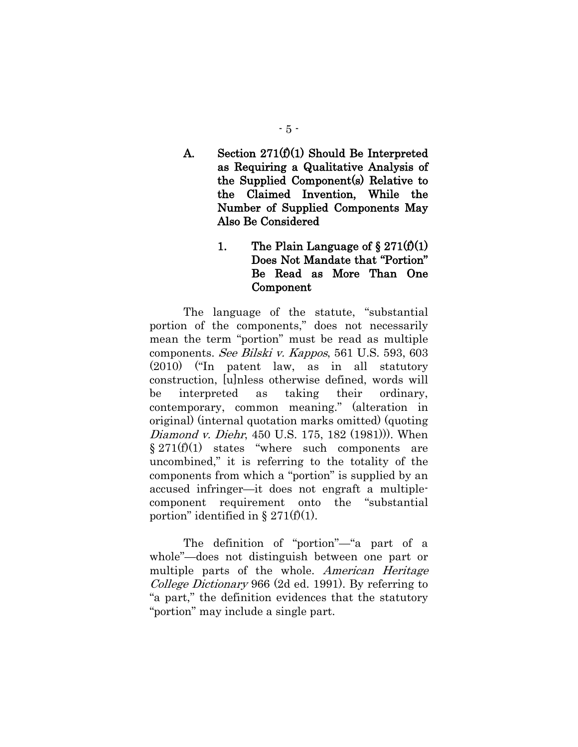<span id="page-10-0"></span>A. Section  $271(f)(1)$  Should Be Interpreted as Requiring a Qualitative Analysis of the Supplied Component(s) Relative to the Claimed Invention, While the Number of Supplied Components May Also Be Considered

## 1. The Plain Language of  $\S 271(f)(1)$ Does Not Mandate that "Portion" Be Read as More Than One Component

<span id="page-10-1"></span>The language of the statute, "substantial portion of the components," does not necessarily mean the term "portion" must be read as multiple components. See Bilski v. Kappos, 561 U.S. 593, 603 (2010) ("In patent law, as in all statutory construction, [u]nless otherwise defined, words will be interpreted as taking their ordinary, contemporary, common meaning." (alteration in original) (internal quotation marks omitted) (quoting Diamond v. Diehr, 450 U.S. 175, 182 (1981))). When  $§ 271(f)(1)$  states "where such components are uncombined," it is referring to the totality of the components from which a "portion" is supplied by an accused infringer—it does not engraft a multiplecomponent requirement onto the "substantial portion" identified in  $\S 271(f)(1)$ .

The definition of "portion"—"a part of a whole"—does not distinguish between one part or multiple parts of the whole. American Heritage College Dictionary 966 (2d ed. 1991). By referring to "a part," the definition evidences that the statutory "portion" may include a single part.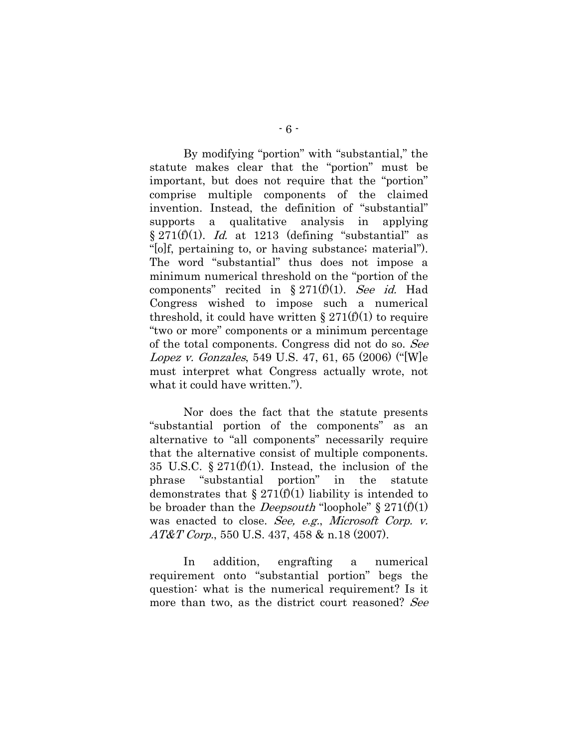By modifying "portion" with "substantial," the statute makes clear that the "portion" must be important, but does not require that the "portion" comprise multiple components of the claimed invention. Instead, the definition of "substantial" supports a qualitative analysis in applying  $§ 271(f)(1)$ . *Id.* at 1213 (defining "substantial" as "[o]f, pertaining to, or having substance; material"). The word "substantial" thus does not impose a minimum numerical threshold on the "portion of the components" recited in  $\S 271(f)(1)$ . See id. Had Congress wished to impose such a numerical threshold, it could have written  $\S 271(f)(1)$  to require "two or more" components or a minimum percentage of the total components. Congress did not do so. See Lopez v. Gonzales, 549 U.S. 47, 61, 65 (2006) ("[W]e must interpret what Congress actually wrote, not what it could have written.").

Nor does the fact that the statute presents "substantial portion of the components" as an alternative to "all components" necessarily require that the alternative consist of multiple components. 35 U.S.C.  $\S 271(f)(1)$ . Instead, the inclusion of the phrase "substantial portion" in the statute demonstrates that  $\S 271(f)(1)$  liability is intended to be broader than the *Deepsouth* "loophole"  $\S 271(f)(1)$ was enacted to close. See, e.g., Microsoft Corp. v. AT&T Corp., 550 U.S. 437, 458 & n.18 (2007).

In addition, engrafting a numerical requirement onto "substantial portion" begs the question: what is the numerical requirement? Is it more than two, as the district court reasoned? See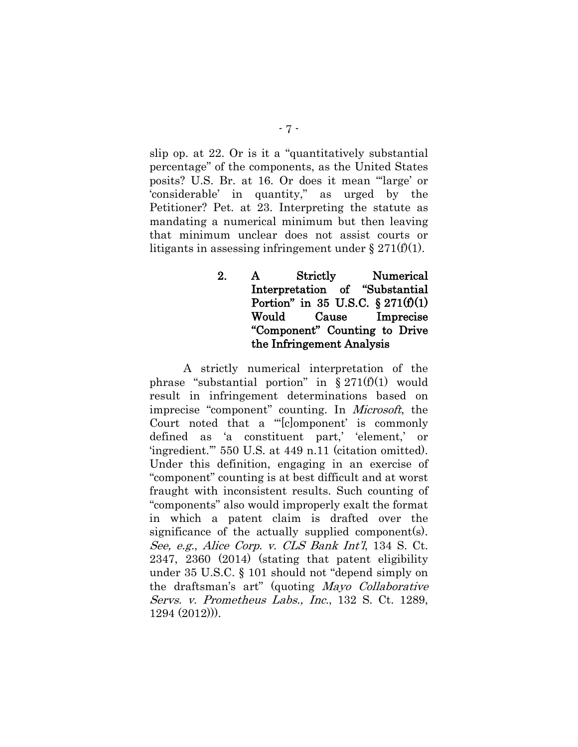slip op. at 22. Or is it a "quantitatively substantial percentage" of the components, as the United States posits? U.S. Br. at 16. Or does it mean "'large' or 'considerable' in quantity," as urged by the Petitioner? Pet. at 23. Interpreting the statute as mandating a numerical minimum but then leaving that minimum unclear does not assist courts or litigants in assessing infringement under  $\S 271(f)(1)$ .

> <span id="page-12-0"></span>2. A Strictly Numerical Interpretation of "Substantial Portion" in 35 U.S.C.  $\S 271(f)(1)$ Would Cause Imprecise "Component" Counting to Drive the Infringement Analysis

A strictly numerical interpretation of the phrase "substantial portion" in  $\S 271(f)(1)$  would result in infringement determinations based on imprecise "component" counting. In Microsoft, the Court noted that a "'[c]omponent' is commonly defined as 'a constituent part,' 'element,' or 'ingredient.'" 550 U.S. at 449 n.11 (citation omitted). Under this definition, engaging in an exercise of "component" counting is at best difficult and at worst fraught with inconsistent results. Such counting of "components" also would improperly exalt the format in which a patent claim is drafted over the significance of the actually supplied component(s). See, e.g., Alice Corp. v. CLS Bank Int'l, 134 S. Ct. 2347, 2360 (2014) (stating that patent eligibility under 35 U.S.C. § 101 should not "depend simply on the draftsman's art" (quoting Mayo Collaborative Servs. v. Prometheus Labs., Inc., 132 S. Ct. 1289, 1294 (2012))).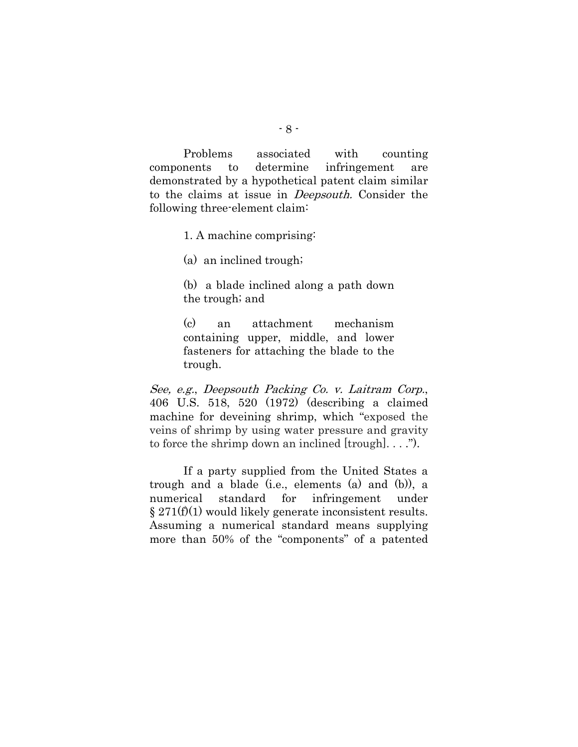Problems associated with counting components to determine infringement are demonstrated by a hypothetical patent claim similar to the claims at issue in Deepsouth. Consider the following three-element claim:

1. A machine comprising:

(a) an inclined trough;

(b) a blade inclined along a path down the trough; and

(c) an attachment mechanism containing upper, middle, and lower fasteners for attaching the blade to the trough.

See, e.g., Deepsouth Packing Co. v. Laitram Corp., 406 U.S. 518, 520 (1972) (describing a claimed machine for deveining shrimp, which "exposed the veins of shrimp by using water pressure and gravity to force the shrimp down an inclined [trough]. . . .").

If a party supplied from the United States a trough and a blade (i.e., elements (a) and (b)), a numerical standard for infringement under  $\S 271(f)(1)$  would likely generate inconsistent results. Assuming a numerical standard means supplying more than 50% of the "components" of a patented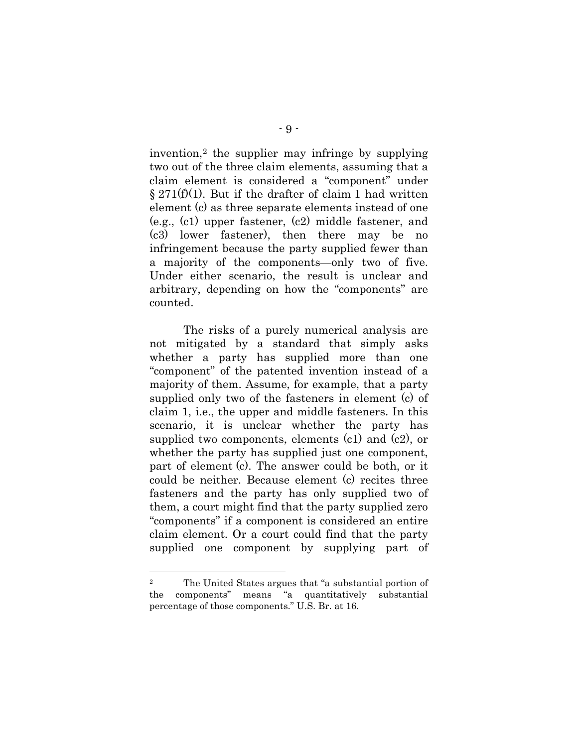invention,[2](#page-14-0) the supplier may infringe by supplying two out of the three claim elements, assuming that a claim element is considered a "component" under  $§ 271(f)(1)$ . But if the drafter of claim 1 had written element (c) as three separate elements instead of one (e.g., (c1) upper fastener, (c2) middle fastener, and (c3) lower fastener), then there may be no infringement because the party supplied fewer than a majority of the components—only two of five. Under either scenario, the result is unclear and arbitrary, depending on how the "components" are counted.

The risks of a purely numerical analysis are not mitigated by a standard that simply asks whether a party has supplied more than one "component" of the patented invention instead of a majority of them. Assume, for example, that a party supplied only two of the fasteners in element (c) of claim 1, i.e., the upper and middle fasteners. In this scenario, it is unclear whether the party has supplied two components, elements  $(c1)$  and  $(c2)$ , or whether the party has supplied just one component, part of element (c). The answer could be both, or it could be neither. Because element (c) recites three fasteners and the party has only supplied two of them, a court might find that the party supplied zero "components" if a component is considered an entire claim element. Or a court could find that the party supplied one component by supplying part of

l

<span id="page-14-0"></span><sup>2</sup> The United States argues that "a substantial portion of the components" means "a quantitatively substantial percentage of those components." U.S. Br. at 16.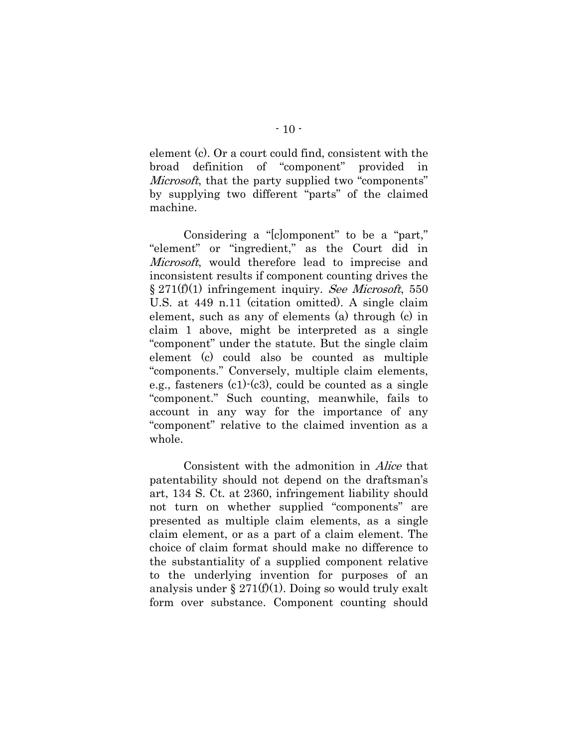element (c). Or a court could find, consistent with the broad definition of "component" provided in Microsoft, that the party supplied two "components" by supplying two different "parts" of the claimed machine.

Considering a "[c]omponent" to be a "part," "element" or "ingredient," as the Court did in Microsoft, would therefore lead to imprecise and inconsistent results if component counting drives the  $\S 271(f)(1)$  infringement inquiry. See Microsoft, 550 U.S. at 449 n.11 (citation omitted). A single claim element, such as any of elements (a) through (c) in claim 1 above, might be interpreted as a single "component" under the statute. But the single claim element (c) could also be counted as multiple "components." Conversely, multiple claim elements, e.g., fasteners  $(c1)-(c3)$ , could be counted as a single "component." Such counting, meanwhile, fails to account in any way for the importance of any "component" relative to the claimed invention as a whole.

Consistent with the admonition in Alice that patentability should not depend on the draftsman's art, 134 S. Ct. at 2360, infringement liability should not turn on whether supplied "components" are presented as multiple claim elements, as a single claim element, or as a part of a claim element. The choice of claim format should make no difference to the substantiality of a supplied component relative to the underlying invention for purposes of an analysis under  $\S 271(f)(1)$ . Doing so would truly exalt form over substance. Component counting should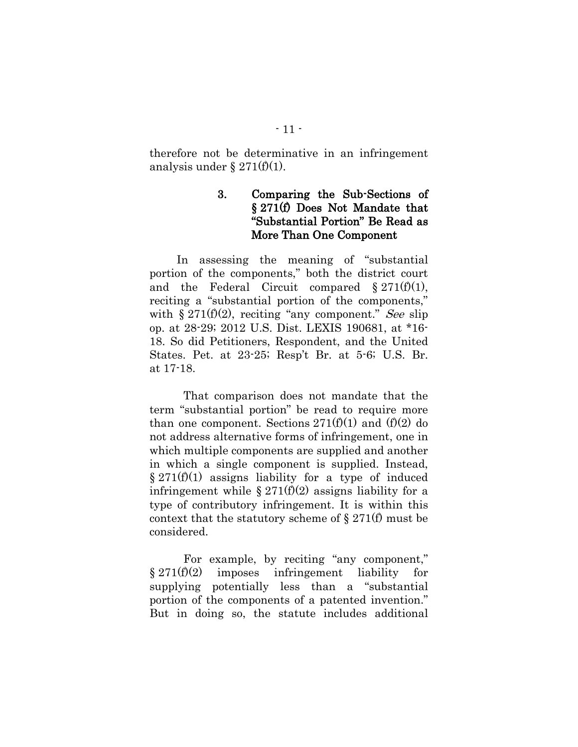<span id="page-16-0"></span>therefore not be determinative in an infringement analysis under  $\S 271(f)(1)$ .

### 3. Comparing the Sub-Sections of § 271(f) Does Not Mandate that "Substantial Portion" Be Read as More Than One Component

In assessing the meaning of "substantial portion of the components," both the district court and the Federal Circuit compared  $\S 271(f)(1)$ , reciting a "substantial portion of the components," with  $\S 271(f)(2)$ , reciting "any component." See slip op. at 28-29; 2012 U.S. Dist. LEXIS 190681, at \*16- 18. So did Petitioners, Respondent, and the United States. Pet. at 23-25; Resp't Br. at 5-6; U.S. Br. at 17-18.

That comparison does not mandate that the term "substantial portion" be read to require more than one component. Sections  $271(f)(1)$  and  $(f)(2)$  do not address alternative forms of infringement, one in which multiple components are supplied and another in which a single component is supplied. Instead,  $\S 271(f)(1)$  assigns liability for a type of induced infringement while  $\S 271(f)(2)$  assigns liability for a type of contributory infringement. It is within this context that the statutory scheme of  $\S 271(f)$  must be considered.

For example, by reciting "any component,"  $§ 271(f)(2)$  imposes infringement liability for supplying potentially less than a "substantial portion of the components of a patented invention." But in doing so, the statute includes additional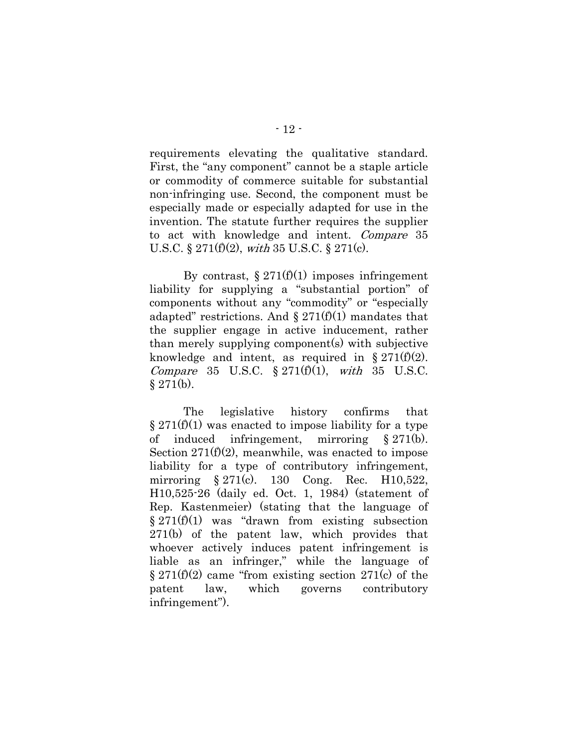requirements elevating the qualitative standard. First, the "any component" cannot be a staple article or commodity of commerce suitable for substantial non-infringing use. Second, the component must be especially made or especially adapted for use in the invention. The statute further requires the supplier to act with knowledge and intent. Compare 35 U.S.C. § 271(f)(2), with 35 U.S.C. § 271(c).

By contrast,  $\S 271(f)(1)$  imposes infringement liability for supplying a "substantial portion" of components without any "commodity" or "especially adapted" restrictions. And  $\S 271(f)(1)$  mandates that the supplier engage in active inducement, rather than merely supplying component(s) with subjective knowledge and intent, as required in  $\S 271(f)(2)$ . Compare 35 U.S.C.  $\S 271(f)(1)$ , with 35 U.S.C.  $§ 271(b).$ 

<span id="page-17-0"></span>The legislative history confirms that  $\S 271(f)(1)$  was enacted to impose liability for a type of induced infringement, mirroring § 271(b). Section  $271(f)(2)$ , meanwhile, was enacted to impose liability for a type of contributory infringement, mirroring § 271(c). 130 Cong. Rec. H10,522, H10,525-26 (daily ed. Oct. 1, 1984) (statement of Rep. Kastenmeier) (stating that the language of  $§ 271(f)(1)$  was "drawn from existing subsection 271(b) of the patent law, which provides that whoever actively induces patent infringement is liable as an infringer," while the language of  $\S 271(f)(2)$  came "from existing section 271(c) of the patent law, which governs contributory infringement").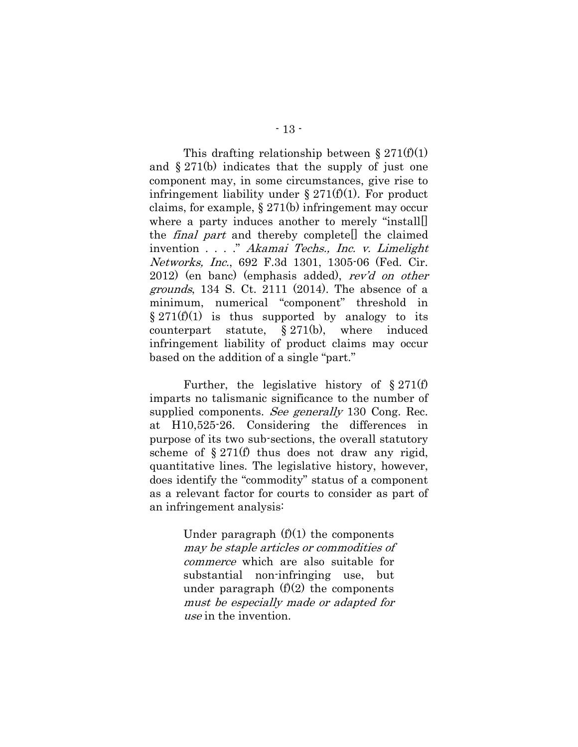This drafting relationship between  $\S 271(f)(1)$ and § 271(b) indicates that the supply of just one component may, in some circumstances, give rise to infringement liability under  $\S 271(f)(1)$ . For product claims, for example, § 271(b) infringement may occur where a party induces another to merely "install[] the final part and thereby complete[] the claimed invention . . . ." Akamai Techs., Inc. v. Limelight Networks, Inc., 692 F.3d 1301, 1305-06 (Fed. Cir. 2012) (en banc) (emphasis added), rev'd on other *grounds*, 134 S. Ct. 2111 (2014). The absence of a minimum, numerical "component" threshold in  $§ 271(f)(1)$  is thus supported by analogy to its counterpart statute, § 271(b), where induced infringement liability of product claims may occur based on the addition of a single "part."

Further, the legislative history of § 271(f) imparts no talismanic significance to the number of supplied components. See generally 130 Cong. Rec. at H10,525-26. Considering the differences in purpose of its two sub-sections, the overall statutory scheme of  $\S 271(f)$  thus does not draw any rigid, quantitative lines. The legislative history, however, does identify the "commodity" status of a component as a relevant factor for courts to consider as part of an infringement analysis:

> Under paragraph  $(f)(1)$  the components may be staple articles or commodities of commerce which are also suitable for substantial non-infringing use, but under paragraph  $(f)(2)$  the components must be especially made or adapted for use in the invention.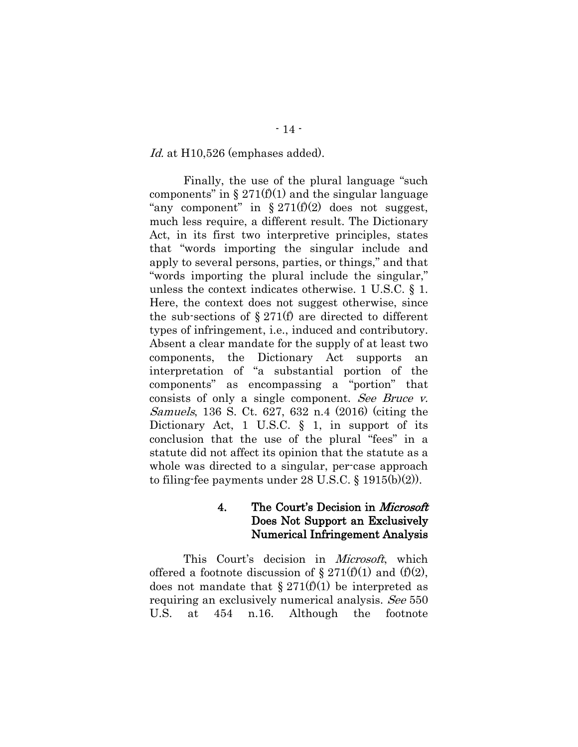Id. at H10,526 (emphases added).

Finally, the use of the plural language "such components" in  $\S 271(f)(1)$  and the singular language "any component" in  $\S 271(f)(2)$  does not suggest, much less require, a different result. The Dictionary Act, in its first two interpretive principles, states that "words importing the singular include and apply to several persons, parties, or things," and that "words importing the plural include the singular," unless the context indicates otherwise. 1 U.S.C. § 1. Here, the context does not suggest otherwise, since the sub-sections of  $\S 271(f)$  are directed to different types of infringement, i.e., induced and contributory. Absent a clear mandate for the supply of at least two components, the Dictionary Act supports an interpretation of "a substantial portion of the components" as encompassing a "portion" that consists of only a single component. See Bruce v. Samuels, 136 S. Ct. 627, 632 n.4 (2016) (citing the Dictionary Act, 1 U.S.C. § 1, in support of its conclusion that the use of the plural "fees" in a statute did not affect its opinion that the statute as a whole was directed to a singular, per-case approach to filing-fee payments under 28 U.S.C. § 1915(b)(2)).

### 4. The Court's Decision in *Microsoft* Does Not Support an Exclusively Numerical Infringement Analysis

<span id="page-19-0"></span>This Court's decision in *Microsoft*, which offered a footnote discussion of  $\S 271(f)(1)$  and  $(f)(2)$ , does not mandate that  $\S 271(f)(1)$  be interpreted as requiring an exclusively numerical analysis. See 550 U.S. at 454 n.16. Although the footnote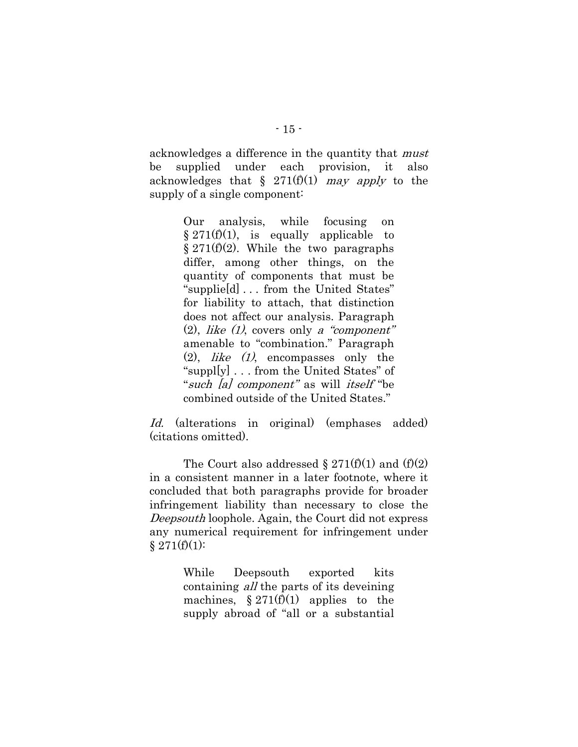acknowledges a difference in the quantity that must be supplied under each provision, it also acknowledges that  $\S$  271(f)(1) may apply to the supply of a single component:

> Our analysis, while focusing on  $§ 271(f)(1)$ , is equally applicable to  $§ 271(f)(2)$ . While the two paragraphs differ, among other things, on the quantity of components that must be "supplie[d] . . . from the United States" for liability to attach, that distinction does not affect our analysis. Paragraph  $(2)$ , *like (1)*, covers only a "component" amenable to "combination." Paragraph  $(2)$ , *like*  $(1)$ , encompasses only the "suppl $[y]$ ... from the United States" of "such [a] component" as will itself "be combined outside of the United States."

Id. (alterations in original) (emphases added) (citations omitted).

The Court also addressed  $\S 271(f)(1)$  and  $(f)(2)$ in a consistent manner in a later footnote, where it concluded that both paragraphs provide for broader infringement liability than necessary to close the Deepsouth loophole. Again, the Court did not express any numerical requirement for infringement under  $§ 271(f)(1):$ 

> While Deepsouth exported kits containing all the parts of its deveining machines,  $\S 271(f)(1)$  applies to the supply abroad of "all or a substantial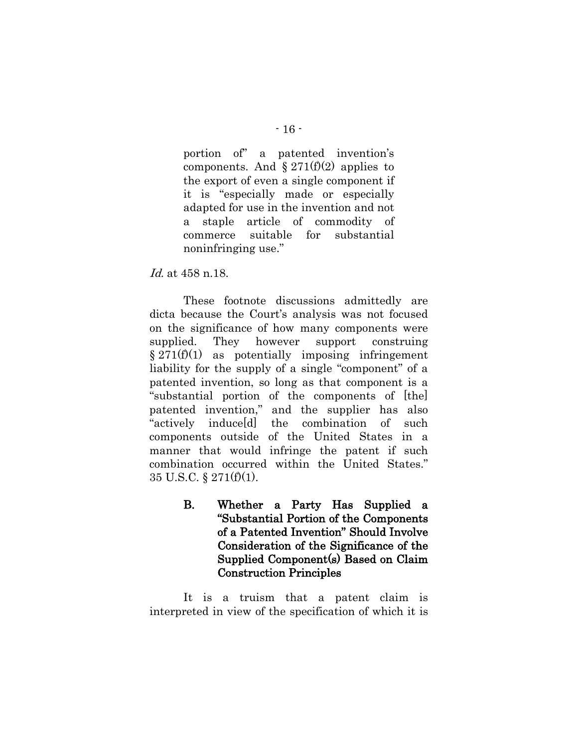portion of" a patented invention's components. And  $\S 271(f)(2)$  applies to the export of even a single component if it is "especially made or especially adapted for use in the invention and not a staple article of commodity of commerce suitable for substantial noninfringing use."

#### Id. at 458 n.18.

These footnote discussions admittedly are dicta because the Court's analysis was not focused on the significance of how many components were supplied. They however support construing  $§ 271(f)(1)$  as potentially imposing infringement liability for the supply of a single "component" of a patented invention, so long as that component is a "substantial portion of the components of [the] patented invention," and the supplier has also "actively induce[d] the combination of such components outside of the United States in a manner that would infringe the patent if such combination occurred within the United States." 35 U.S.C. § 271(f)(1).

> <span id="page-21-0"></span>B. Whether a Party Has Supplied a "Substantial Portion of the Components of a Patented Invention" Should Involve Consideration of the Significance of the Supplied Component(s) Based on Claim Construction Principles

It is a truism that a patent claim is interpreted in view of the specification of which it is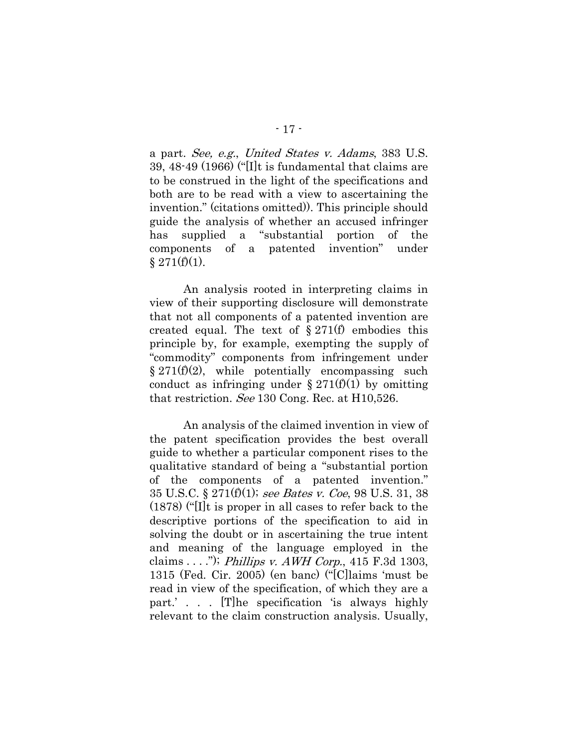a part. See, e.g., United States v. Adams, 383 U.S. 39, 48-49 (1966) ("[I]t is fundamental that claims are to be construed in the light of the specifications and both are to be read with a view to ascertaining the invention." (citations omitted)). This principle should guide the analysis of whether an accused infringer has supplied a "substantial portion of the components of a patented invention" under  $§ 271(f)(1).$ 

An analysis rooted in interpreting claims in view of their supporting disclosure will demonstrate that not all components of a patented invention are created equal. The text of  $\S 271(f)$  embodies this principle by, for example, exempting the supply of "commodity" components from infringement under  $§ 271(f)(2)$ , while potentially encompassing such conduct as infringing under  $\S 271(f)(1)$  by omitting that restriction. See 130 Cong. Rec. at H10,526.

An analysis of the claimed invention in view of the patent specification provides the best overall guide to whether a particular component rises to the qualitative standard of being a "substantial portion of the components of a patented invention." 35 U.S.C. § 271 $(f)(1)$ ; see Bates v. Coe, 98 U.S. 31, 38 (1878) ("[I]t is proper in all cases to refer back to the descriptive portions of the specification to aid in solving the doubt or in ascertaining the true intent and meaning of the language employed in the claims  $\dots$ "); Phillips v. AWH Corp., 415 F.3d 1303, 1315 (Fed. Cir. 2005) (en banc) ("[C]laims 'must be read in view of the specification, of which they are a part.' . . . [T]he specification 'is always highly relevant to the claim construction analysis. Usually,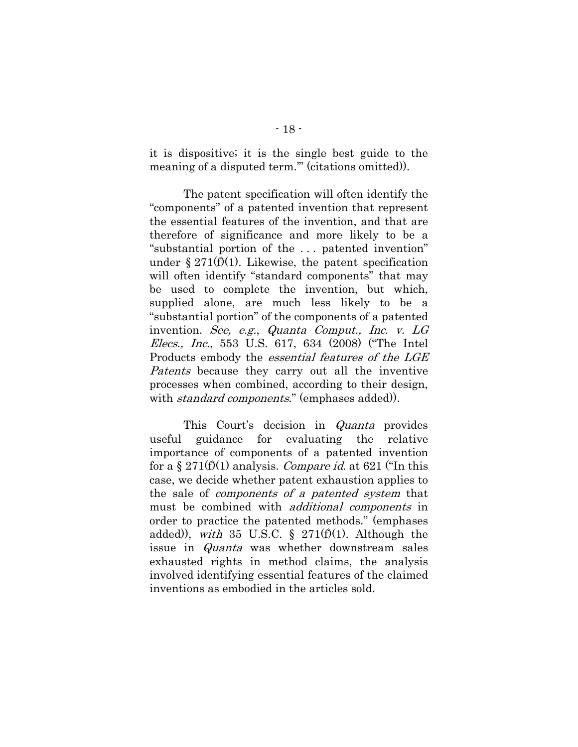it is dispositive; it is the single best guide to the meaning of a disputed term.'" (citations omitted)).

The patent specification will often identify the "components" of a patented invention that represent the essential features of the invention, and that are therefore of significance and more likely to be a "substantial portion of the . . . patented invention" under § 271 $(f)(1)$ . Likewise, the patent specification will often identify "standard components" that may be used to complete the invention, but which, supplied alone, are much less likely to be a "substantial portion" of the components of a patented invention. See, e.g., Quanta Comput., Inc. v. LG Elecs., Inc., 553 U.S. 617, 634 (2008) ("The Intel Products embody the essential features of the LGE Patents because they carry out all the inventive processes when combined, according to their design, with *standard components*." (emphases added)).

<span id="page-23-0"></span>This Court's decision in Quanta provides useful guidance for evaluating the relative importance of components of a patented invention for a § 271(f)(1) analysis. Compare id. at 621 ("In this case, we decide whether patent exhaustion applies to the sale of components of a patented system that must be combined with additional components in order to practice the patented methods." (emphases added)), with 35 U.S.C.  $\S$  271(f)(1). Although the issue in Quanta was whether downstream sales exhausted rights in method claims, the analysis involved identifying essential features of the claimed inventions as embodied in the articles sold.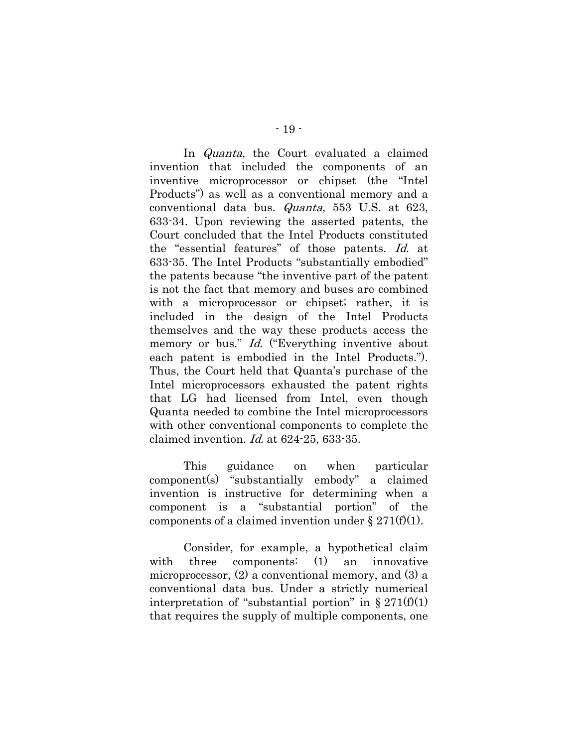In Quanta, the Court evaluated a claimed invention that included the components of an inventive microprocessor or chipset (the "Intel Products") as well as a conventional memory and a conventional data bus. Quanta, 553 U.S. at 623, 633-34. Upon reviewing the asserted patents, the Court concluded that the Intel Products constituted the "essential features" of those patents. Id. at 633-35. The Intel Products "substantially embodied" the patents because "the inventive part of the patent is not the fact that memory and buses are combined with a microprocessor or chipset; rather, it is included in the design of the Intel Products themselves and the way these products access the memory or bus." *Id.* ("Everything inventive about each patent is embodied in the Intel Products."). Thus, the Court held that Quanta's purchase of the Intel microprocessors exhausted the patent rights that LG had licensed from Intel, even though Quanta needed to combine the Intel microprocessors with other conventional components to complete the claimed invention. Id. at 624-25, 633-35.

This guidance on when particular component(s) "substantially embody" a claimed invention is instructive for determining when a component is a "substantial portion" of the components of a claimed invention under  $\S 271(f)(1)$ .

Consider, for example, a hypothetical claim with three components: (1) an innovative microprocessor, (2) a conventional memory, and (3) a conventional data bus. Under a strictly numerical interpretation of "substantial portion" in  $\S 271(f)(1)$ that requires the supply of multiple components, one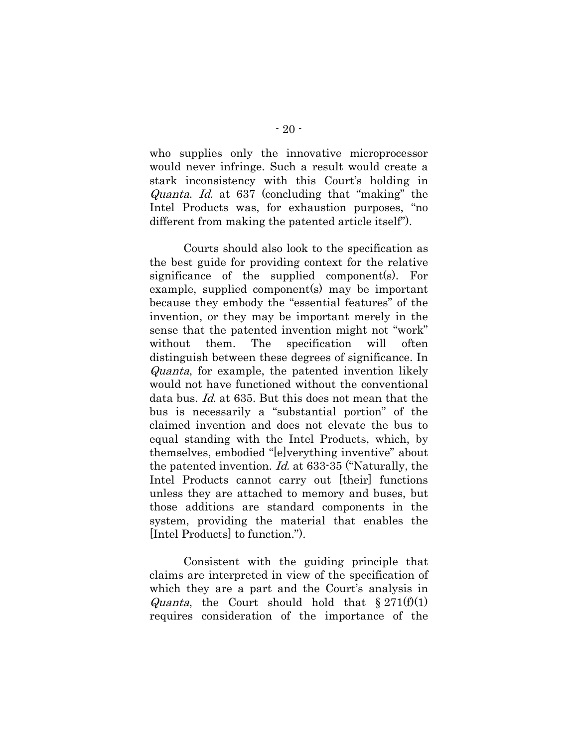who supplies only the innovative microprocessor would never infringe. Such a result would create a stark inconsistency with this Court's holding in Quanta. Id. at 637 (concluding that "making" the Intel Products was, for exhaustion purposes, "no different from making the patented article itself").

Courts should also look to the specification as the best guide for providing context for the relative significance of the supplied component(s). For example, supplied component(s) may be important because they embody the "essential features" of the invention, or they may be important merely in the sense that the patented invention might not "work" without them. The specification will often distinguish between these degrees of significance. In Quanta, for example, the patented invention likely would not have functioned without the conventional data bus. Id. at 635. But this does not mean that the bus is necessarily a "substantial portion" of the claimed invention and does not elevate the bus to equal standing with the Intel Products, which, by themselves, embodied "[e]verything inventive" about the patented invention. Id. at 633-35 ("Naturally, the Intel Products cannot carry out [their] functions unless they are attached to memory and buses, but those additions are standard components in the system, providing the material that enables the [Intel Products] to function.").

Consistent with the guiding principle that claims are interpreted in view of the specification of which they are a part and the Court's analysis in *Quanta*, the Court should hold that  $\S 271(f)(1)$ requires consideration of the importance of the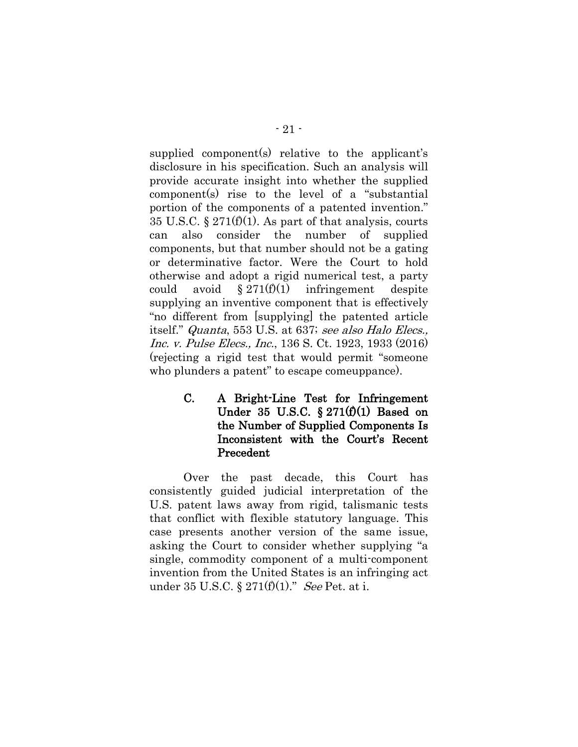supplied component(s) relative to the applicant's disclosure in his specification. Such an analysis will provide accurate insight into whether the supplied component(s) rise to the level of a "substantial portion of the components of a patented invention." 35 U.S.C. § 271(f)(1). As part of that analysis, courts can also consider the number of supplied components, but that number should not be a gating or determinative factor. Were the Court to hold otherwise and adopt a rigid numerical test, a party could avoid  $\S 271(f)(1)$  infringement despite supplying an inventive component that is effectively "no different from [supplying] the patented article itself." Quanta, 553 U.S. at 637; see also Halo Elecs., Inc. v. Pulse Elecs., Inc., 136 S. Ct. 1923, 1933 (2016) (rejecting a rigid test that would permit "someone who plunders a patent" to escape comeuppance).

> <span id="page-26-0"></span>C. A Bright-Line Test for Infringement Under 35 U.S.C.  $\S 271(f)(1)$  Based on the Number of Supplied Components Is Inconsistent with the Court's Recent Precedent

Over the past decade, this Court has consistently guided judicial interpretation of the U.S. patent laws away from rigid, talismanic tests that conflict with flexible statutory language. This case presents another version of the same issue, asking the Court to consider whether supplying "a single, commodity component of a multi-component invention from the United States is an infringing act under 35 U.S.C. §  $271(f)(1)$ ." See Pet. at i.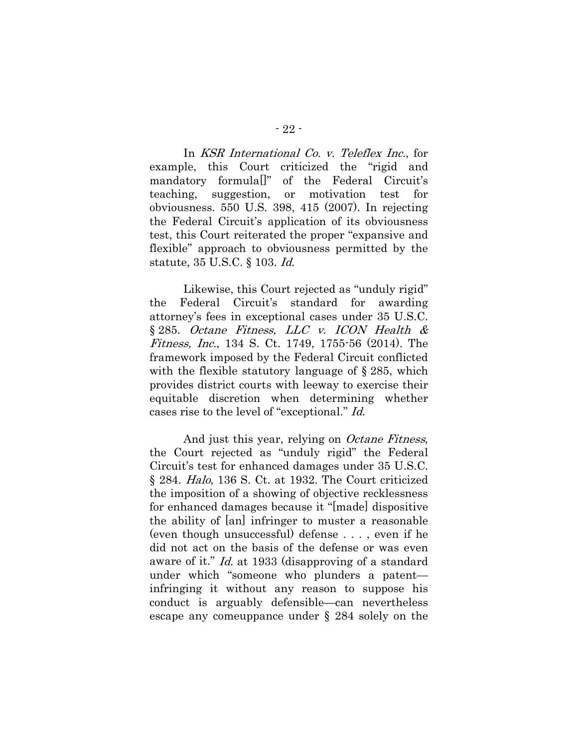In KSR International Co. v. Teleflex Inc., for example, this Court criticized the "rigid and mandatory formula[]" of the Federal Circuit's teaching, suggestion, or motivation test for obviousness. 550 U.S. 398, 415 (2007). In rejecting the Federal Circuit's application of its obviousness test, this Court reiterated the proper "expansive and flexible" approach to obviousness permitted by the statute, 35 U.S.C. § 103. Id.

Likewise, this Court rejected as "unduly rigid" the Federal Circuit's standard for awarding attorney's fees in exceptional cases under 35 U.S.C. § 285. Octane Fitness, LLC v. ICON Health & Fitness, Inc., 134 S. Ct. 1749, 1755-56 (2014). The framework imposed by the Federal Circuit conflicted with the flexible statutory language of § 285, which provides district courts with leeway to exercise their equitable discretion when determining whether cases rise to the level of "exceptional." Id.

<span id="page-27-1"></span><span id="page-27-0"></span>And just this year, relying on *Octane Fitness*, the Court rejected as "unduly rigid" the Federal Circuit's test for enhanced damages under 35 U.S.C. § 284. Halo, 136 S. Ct. at 1932. The Court criticized the imposition of a showing of objective recklessness for enhanced damages because it "[made] dispositive the ability of [an] infringer to muster a reasonable (even though unsuccessful) defense . . . , even if he did not act on the basis of the defense or was even aware of it." Id. at 1933 (disapproving of a standard under which "someone who plunders a patent infringing it without any reason to suppose his conduct is arguably defensible—can nevertheless escape any comeuppance under § 284 solely on the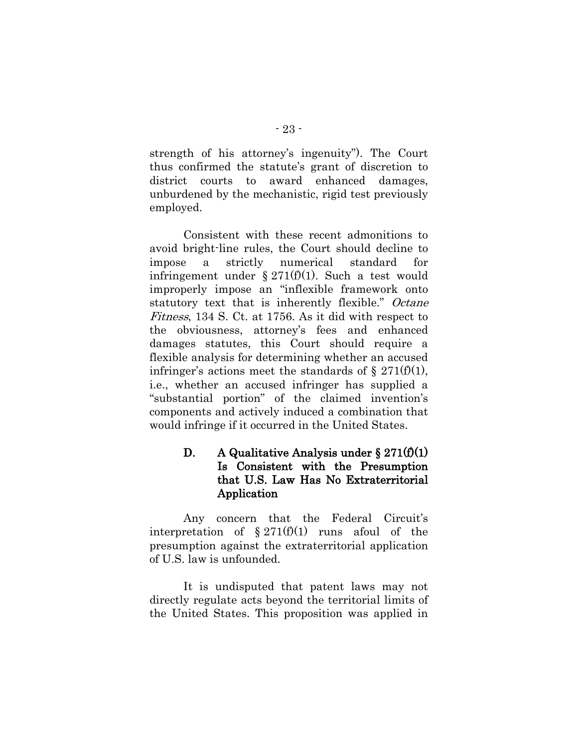strength of his attorney's ingenuity"). The Court thus confirmed the statute's grant of discretion to district courts to award enhanced damages, unburdened by the mechanistic, rigid test previously employed.

Consistent with these recent admonitions to avoid bright-line rules, the Court should decline to impose a strictly numerical standard for infringement under §  $271(f)(1)$ . Such a test would improperly impose an "inflexible framework onto statutory text that is inherently flexible." Octane Fitness, 134 S. Ct. at 1756. As it did with respect to the obviousness, attorney's fees and enhanced damages statutes, this Court should require a flexible analysis for determining whether an accused infringer's actions meet the standards of  $\S 271(f)(1)$ , i.e., whether an accused infringer has supplied a "substantial portion" of the claimed invention's components and actively induced a combination that would infringe if it occurred in the United States.

## <span id="page-28-0"></span>D. A Qualitative Analysis under  $\S 271(f)(1)$ Is Consistent with the Presumption that U.S. Law Has No Extraterritorial Application

Any concern that the Federal Circuit's interpretation of  $\S 271(f)(1)$  runs afoul of the presumption against the extraterritorial application of U.S. law is unfounded.

It is undisputed that patent laws may not directly regulate acts beyond the territorial limits of the United States. This proposition was applied in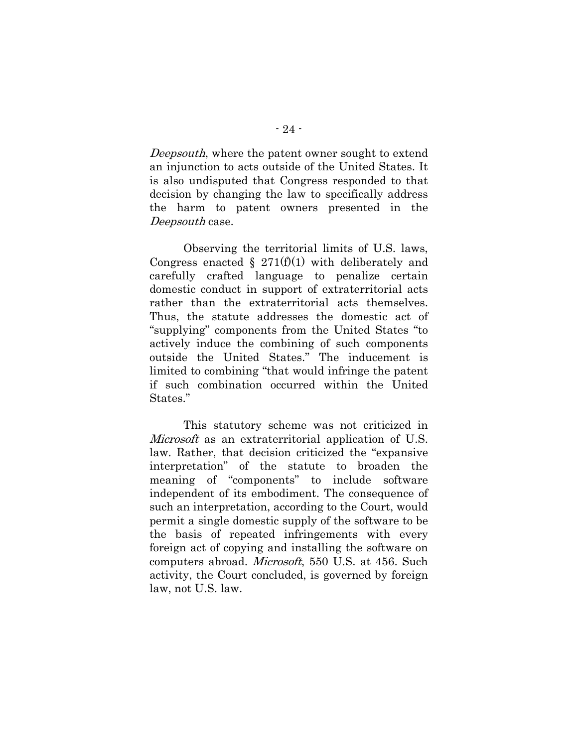Deepsouth, where the patent owner sought to extend an injunction to acts outside of the United States. It is also undisputed that Congress responded to that decision by changing the law to specifically address the harm to patent owners presented in the Deepsouth case.

Observing the territorial limits of U.S. laws, Congress enacted § 271 $(f)(1)$  with deliberately and carefully crafted language to penalize certain domestic conduct in support of extraterritorial acts rather than the extraterritorial acts themselves. Thus, the statute addresses the domestic act of "supplying" components from the United States "to actively induce the combining of such components outside the United States." The inducement is limited to combining "that would infringe the patent if such combination occurred within the United States."

This statutory scheme was not criticized in Microsoft as an extraterritorial application of U.S. law. Rather, that decision criticized the "expansive interpretation" of the statute to broaden the meaning of "components" to include software independent of its embodiment. The consequence of such an interpretation, according to the Court, would permit a single domestic supply of the software to be the basis of repeated infringements with every foreign act of copying and installing the software on computers abroad. Microsoft, 550 U.S. at 456. Such activity, the Court concluded, is governed by foreign law, not U.S. law.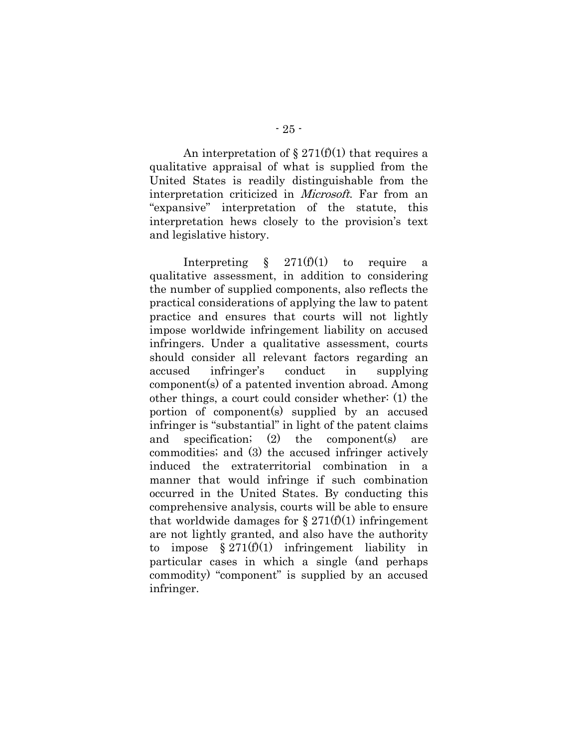An interpretation of  $\S 271(f)(1)$  that requires a qualitative appraisal of what is supplied from the United States is readily distinguishable from the interpretation criticized in Microsoft. Far from an "expansive" interpretation of the statute, this interpretation hews closely to the provision's text and legislative history.

Interpreting  $\S$  271(f)(1) to require a qualitative assessment, in addition to considering the number of supplied components, also reflects the practical considerations of applying the law to patent practice and ensures that courts will not lightly impose worldwide infringement liability on accused infringers. Under a qualitative assessment, courts should consider all relevant factors regarding an accused infringer's conduct in supplying component(s) of a patented invention abroad. Among other things, a court could consider whether: (1) the portion of component(s) supplied by an accused infringer is "substantial" in light of the patent claims and specification; (2) the component(s) are commodities; and (3) the accused infringer actively induced the extraterritorial combination in a manner that would infringe if such combination occurred in the United States. By conducting this comprehensive analysis, courts will be able to ensure that worldwide damages for  $\S 271(f)(1)$  infringement are not lightly granted, and also have the authority to impose  $\S 271(f)(1)$  infringement liability in particular cases in which a single (and perhaps commodity) "component" is supplied by an accused infringer.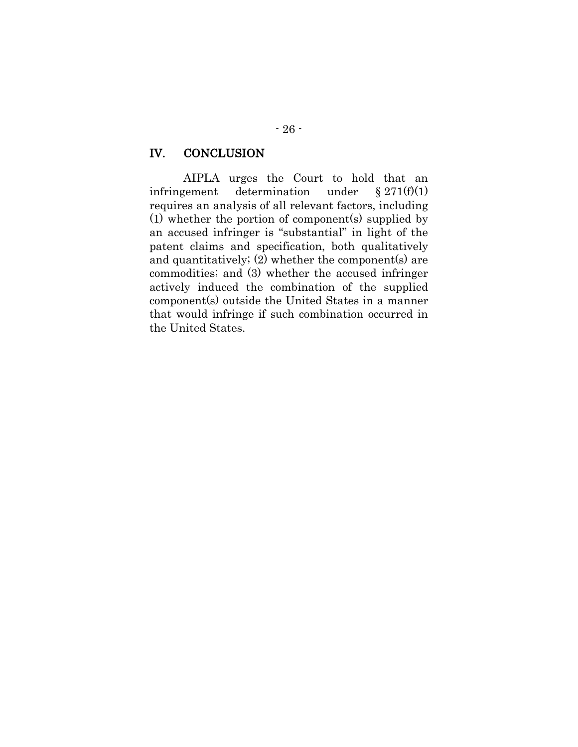#### <span id="page-31-0"></span>IV. CONCLUSION

AIPLA urges the Court to hold that an infringement determination under  $\S 271(f)(1)$ requires an analysis of all relevant factors, including (1) whether the portion of component(s) supplied by an accused infringer is "substantial" in light of the patent claims and specification, both qualitatively and quantitatively; (2) whether the component(s) are commodities; and (3) whether the accused infringer actively induced the combination of the supplied component(s) outside the United States in a manner that would infringe if such combination occurred in the United States.